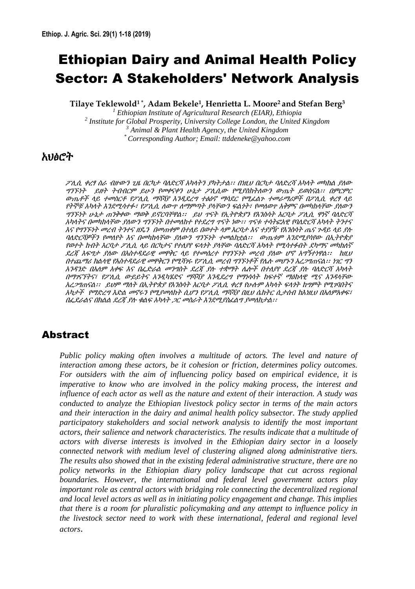# Ethiopian Dairy and Animal Health Policy Sector: A Stakeholders' Network Analysis

**Tilaye Teklewold1 \*, Adam Bekele<sup>1</sup> , Henrietta L. Moore<sup>2</sup> and Stefan Berg<sup>3</sup>**

 *Ethiopian Institute of Agricultural Research (EIAR), Ethiopia Institute for Global Prosperity, University College London, the United Kingdom Animal & Plant Health Agency, the United Kingdom \* Corresponding Author; Email: ttddeneke@yahoo.com*

## አህፅሮት

ፖሊሲ ቀረፃ ስራ ብዙውን ጊዜ በርካታ ባለድርሻ አካላትን ያካትታል፡፡ በነዚህ በርካታ ባለድረሻ አካላት መካከል ያለው ግንኙነት ይዘት ትብብርም ይሁን የመቀናቀን ሁኔታ ፖሉሲው የሚያስክትሇውን ውጤት ይወስናሌ፡፡ በምርምር ውጤቶች ላይ ተመስርቶ የፖሊሲ ማሻሻያ እንዲደረግ ተፅዕኖ ማሳደር የሚፈልጉ ተመራማሪዎች በፖሊሲ ቀረፃ ላይ የትኞቹ አካላት እንደሚሳተፉ፣ የፖሊሲ ለውጥ ለማምጣት ያላቸውን ፍልጎት፣ የመለወጥ አቅምና በመካከላቸው ያለውን ግንኙነት ሁኔታ ጠንቅቀው ማወቅ ይኖርባቸዋል፡፡ ይህ ዋናት የኢትዮጵያን የእንስሳት እርባታ ፖሊሲ ዋነኛ ባለድርሻ አካላትና በመካከላቸው ያለውን ግንኙነት በተመለከተ የተደረግ ጥናት ነው፡፡ ጥናቱ ተሳትፎአዊ የባለድርሻ አካላት ትንተና እና የግንኙነት መረብ ትንተና ዘዴን በመጠቀም በተለይ በወተት ላም እርባታ እና ተያያዥ የእንስሳት ጤና ጉዳይ ላይ ያለ ባለድርሻዎችን የመለየት እና በመካከላቸው ያለውን ግንኙነት ተመልክቷል፡፡ ውጤቱም እንደሚያሳየው በኢትዮጵያ የወተት ከብት እርባታ ፖሊሲ ላይ በርካታና የተሊየየ ፍላጎት ያላቸው ባለድርሻ አካላት የሚሳተፉበት ደካማና መካከለኛ ደረጃ እፍግታ ያለው በአስተዳደራዊ መዋቅር ላይ የተመሰረተ የግንኙነት መረብ ያለው ሆኖ አግኝተነዋል፡፡ ከዚህ በተጨማሪ ክሌሊዊ የአስተዳዯራዊ መዋቅርን የሚሻገሩ የፖሉሲ መረብ ግንኙነቶች የላለ መሆኑን አረጋግጠናሌ፡፡ ነገር ግን አንዳንድ በአለም አቀፍ እና በፌድራል መንግስት ደረጃ ያሉ ተቋማት ሌሎች በተለያየ ደረጃ ያሉ ባለድርሻ አካላት በማንናኘትና፣ የፖሊሲ ውይይትና አንዲካሄድና ማሻሻያ እንዲደረግ የማነሳሳት ከፍተኛ ማዕከላዊ ሚና እንዳላቸው አረጋግጠናሌ፡፡ ይህም ማሇት በኢትዮጵያ የእንስሳት እርባታ ፖሉሲ ቀረፃ የሁለም አካሊት ፍሊጎት ከግምት የሚገባበትና አካታች የማድረግ እድል መኖሩን የሚያመለከት ሲሆን የፖሊሲ ማሻሻያ በዚህ ሴክትር ሲታሰብ ከእነዚህ በአለምአቀፍ፣ በፌደራልና በክልል ደረጃ ያሉ ቁልፍ አካላት *ጋር መስራት እንደሚያስፈልግ ያመለከታል፡፡* 

## Abstract

*Public policy making often involves a multitude of actors. The level and nature of interaction among these actors, be it cohesion or friction, determines policy outcomes. For outsiders with the aim of influencing policy based on empirical evidence, it is imperative to know who are involved in the policy making process, the interest and influence of each actor as well as the nature and extent of their interaction. A study was conducted to analyze the Ethiopian livestock policy sector in terms of the main actors and their interaction in the dairy and animal health policy subsector. The study applied participatory stakeholders and social network analysis to identify the most important actors, their salience and network characteristics. The results indicate that a multitude of actors with diverse interests is involved in the Ethiopian dairy sector in a loosely connected network with medium level of clustering aligned along administrative tiers. The results also showed that in the existing federal administrative structure, there are no policy networks in the Ethiopian diary policy landscape that cut across regional boundaries. However, the international and federal level government actors play important role as central actors with bridging role connecting the decentralized regional and local level actors as well as in initiating policy engagement and change. This implies that there is a room for pluralistic policymaking and any attempt to influence policy in the livestock sector need to work with these international, federal and regional level actors*.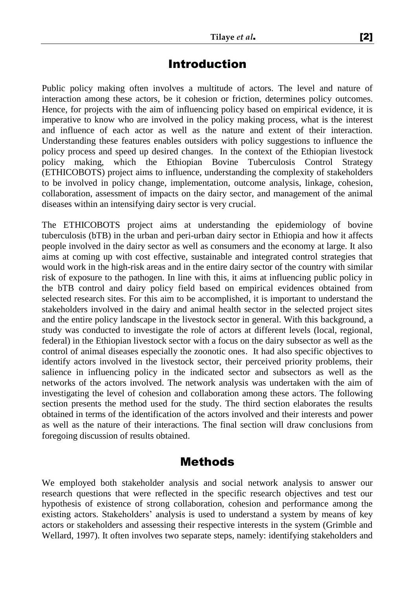# Introduction

Public policy making often involves a multitude of actors. The level and nature of interaction among these actors, be it cohesion or friction, determines policy outcomes. Hence, for projects with the aim of influencing policy based on empirical evidence, it is imperative to know who are involved in the policy making process, what is the interest and influence of each actor as well as the nature and extent of their interaction. Understanding these features enables outsiders with policy suggestions to influence the policy process and speed up desired changes. In the context of the Ethiopian livestock policy making, which the Ethiopian Bovine Tuberculosis Control Strategy (ETHICOBOTS) project aims to influence, understanding the complexity of stakeholders to be involved in policy change, implementation, outcome analysis, linkage, cohesion, collaboration, assessment of impacts on the dairy sector, and management of the animal diseases within an intensifying dairy sector is very crucial.

The ETHICOBOTS project aims at understanding the epidemiology of bovine tuberculosis (bTB) in the urban and peri-urban dairy sector in Ethiopia and how it affects people involved in the dairy sector as well as consumers and the economy at large. It also aims at coming up with cost effective, sustainable and integrated control strategies that would work in the high-risk areas and in the entire dairy sector of the country with similar risk of exposure to the pathogen. In line with this, it aims at influencing public policy in the bTB control and dairy policy field based on empirical evidences obtained from selected research sites. For this aim to be accomplished, it is important to understand the stakeholders involved in the dairy and animal health sector in the selected project sites and the entire policy landscape in the livestock sector in general. With this background, a study was conducted to investigate the role of actors at different levels (local, regional, federal) in the Ethiopian livestock sector with a focus on the dairy subsector as well as the control of animal diseases especially the zoonotic ones. It had also specific objectives to identify actors involved in the livestock sector, their perceived priority problems, their salience in influencing policy in the indicated sector and subsectors as well as the networks of the actors involved. The network analysis was undertaken with the aim of investigating the level of cohesion and collaboration among these actors. The following section presents the method used for the study. The third section elaborates the results obtained in terms of the identification of the actors involved and their interests and power as well as the nature of their interactions. The final section will draw conclusions from foregoing discussion of results obtained.

## Methods

We employed both stakeholder analysis and social network analysis to answer our research questions that were reflected in the specific research objectives and test our hypothesis of existence of strong collaboration, cohesion and performance among the existing actors. Stakeholders' analysis is used to understand a system by means of key actors or stakeholders and assessing their respective interests in the system (Grimble and Wellard, 1997). It often involves two separate steps, namely: identifying stakeholders and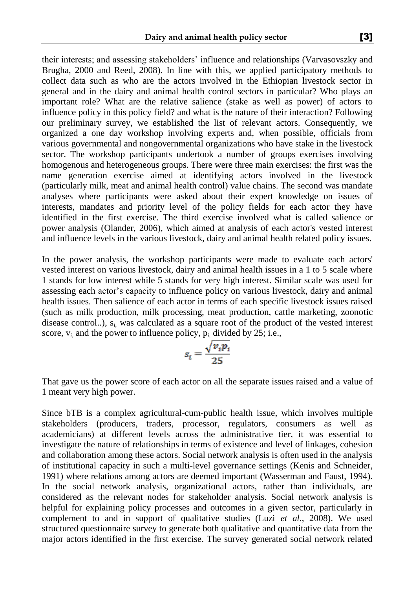their interests; and assessing stakeholders' influence and relationships (Varvasovszky and Brugha, 2000 and Reed, 2008). In line with this, we applied participatory methods to collect data such as who are the actors involved in the Ethiopian livestock sector in general and in the dairy and animal health control sectors in particular? Who plays an important role? What are the relative salience (stake as well as power) of actors to influence policy in this policy field? and what is the nature of their interaction? Following our preliminary survey, we established the list of relevant actors. Consequently, we organized a one day workshop involving experts and, when possible, officials from various governmental and nongovernmental organizations who have stake in the livestock sector. The workshop participants undertook a number of groups exercises involving homogenous and heterogeneous groups. There were three main exercises: the first was the name generation exercise aimed at identifying actors involved in the livestock (particularly milk, meat and animal health control) value chains. The second was mandate analyses where participants were asked about their expert knowledge on issues of interests, mandates and priority level of the policy fields for each actor they have identified in the first exercise. The third exercise involved what is called salience or power analysis (Olander, 2006), which aimed at analysis of each actor's vested interest and influence levels in the various livestock, dairy and animal health related policy issues.

In the power analysis, the workshop participants were made to evaluate each actors' vested interest on various livestock, dairy and animal health issues in a 1 to 5 scale where 1 stands for low interest while 5 stands for very high interest. Similar scale was used for assessing each actor's capacity to influence policy on various livestock, dairy and animal health issues. Then salience of each actor in terms of each specific livestock issues raised (such as milk production, milk processing, meat production, cattle marketing, zoonotic disease control..), s*i,* was calculated as a square root of the product of the vested interest score,  $v_i$  and the power to influence policy,  $p_i$ , divided by 25; i.e.,

$$
s_i = \frac{\sqrt{v_i p_i}}{25}
$$

That gave us the power score of each actor on all the separate issues raised and a value of 1 meant very high power.

Since bTB is a complex agricultural-cum-public health issue, which involves multiple stakeholders (producers, traders, processor, regulators, consumers as well as academicians) at different levels across the administrative tier, it was essential to investigate the nature of relationships in terms of existence and level of linkages, cohesion and collaboration among these actors. Social network analysis is often used in the analysis of institutional capacity in such a multi-level governance settings (Kenis and Schneider, 1991) where relations among actors are deemed important (Wasserman and Faust, 1994). In the social network analysis, organizational actors, rather than individuals, are considered as the relevant nodes for stakeholder analysis. Social network analysis is helpful for explaining policy processes and outcomes in a given sector, particularly in complement to and in support of qualitative studies (Luzi *et al.*, 2008). We used structured questionnaire survey to generate both qualitative and quantitative data from the major actors identified in the first exercise. The survey generated social network related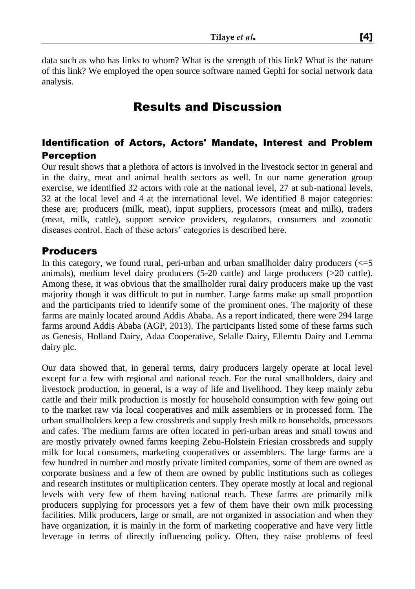data such as who has links to whom? What is the strength of this link? What is the nature of this link? We employed the open source software named Gephi for social network data analysis.

# Results and Discussion

### Identification of Actors, Actors' Mandate, Interest and Problem **Perception**

Our result shows that a plethora of actors is involved in the livestock sector in general and in the dairy, meat and animal health sectors as well. In our name generation group exercise, we identified 32 actors with role at the national level, 27 at sub-national levels, 32 at the local level and 4 at the international level. We identified 8 major categories: these are; producers (milk, meat), input suppliers, processors (meat and milk), traders (meat, milk, cattle), support service providers, regulators, consumers and zoonotic diseases control. Each of these actors' categories is described here.

### Producers

In this category, we found rural, peri-urban and urban smallholder dairy producers  $\ll=5$ animals), medium level dairy producers (5-20 cattle) and large producers (>20 cattle). Among these, it was obvious that the smallholder rural dairy producers make up the vast majority though it was difficult to put in number. Large farms make up small proportion and the participants tried to identify some of the prominent ones. The majority of these farms are mainly located around Addis Ababa. As a report indicated, there were 294 large farms around Addis Ababa (AGP, 2013). The participants listed some of these farms such as Genesis, Holland Dairy, Adaa Cooperative, Selalle Dairy, Ellemtu Dairy and Lemma dairy plc.

Our data showed that, in general terms, dairy producers largely operate at local level except for a few with regional and national reach. For the rural smallholders, dairy and livestock production, in general, is a way of life and livelihood. They keep mainly zebu cattle and their milk production is mostly for household consumption with few going out to the market raw via local cooperatives and milk assemblers or in processed form. The urban smallholders keep a few crossbreds and supply fresh milk to households, processors and cafes. The medium farms are often located in peri-urban areas and small towns and are mostly privately owned farms keeping Zebu-Holstein Friesian crossbreds and supply milk for local consumers, marketing cooperatives or assemblers. The large farms are a few hundred in number and mostly private limited companies, some of them are owned as corporate business and a few of them are owned by public institutions such as colleges and research institutes or multiplication centers. They operate mostly at local and regional levels with very few of them having national reach. These farms are primarily milk producers supplying for processors yet a few of them have their own milk processing facilities. Milk producers, large or small, are not organized in association and when they have organization, it is mainly in the form of marketing cooperative and have very little leverage in terms of directly influencing policy. Often, they raise problems of feed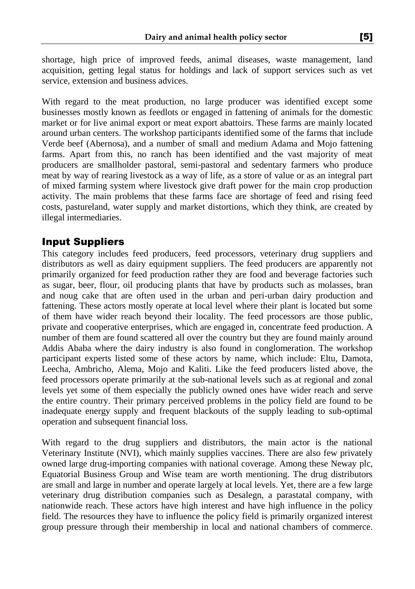shortage, high price of improved feeds, animal diseases, waste management, land acquisition, getting legal status for holdings and lack of support services such as vet service, extension and business advices.

With regard to the meat production, no large producer was identified except some businesses mostly known as feedlots or engaged in fattening of animals for the domestic market or for live animal export or meat export abattoirs. These farms are mainly located around urban centers. The workshop participants identified some of the farms that include Verde beef (Abernosa), and a number of small and medium Adama and Mojo fattening farms. Apart from this, no ranch has been identified and the vast majority of meat producers are smallholder pastoral, semi-pastoral and sedentary farmers who produce meat by way of rearing livestock as a way of life, as a store of value or as an integral part of mixed farming system where livestock give draft power for the main crop production activity. The main problems that these farms face are shortage of feed and rising feed costs, pastureland, water supply and market distortions, which they think, are created by illegal intermediaries.

## Input Suppliers

This category includes feed producers, feed processors, veterinary drug suppliers and distributors as well as dairy equipment suppliers. The feed producers are apparently not primarily organized for feed production rather they are food and beverage factories such as sugar, beer, flour, oil producing plants that have by products such as molasses, bran and noug cake that are often used in the urban and peri-urban dairy production and fattening. These actors mostly operate at local level where their plant is located but some of them have wider reach beyond their locality. The feed processors are those public, private and cooperative enterprises, which are engaged in, concentrate feed production. A number of them are found scattered all over the country but they are found mainly around Addis Ababa where the dairy industry is also found in conglomeration. The workshop participant experts listed some of these actors by name, which include: Eltu, Damota, Leecha, Ambricho, Alema, Mojo and Kaliti. Like the feed producers listed above, the feed processors operate primarily at the sub-national levels such as at regional and zonal levels yet some of them especially the publicly owned ones have wider reach and serve the entire country. Their primary perceived problems in the policy field are found to be inadequate energy supply and frequent blackouts of the supply leading to sub-optimal operation and subsequent financial loss.

With regard to the drug suppliers and distributors, the main actor is the national Veterinary Institute (NVI), which mainly supplies vaccines. There are also few privately owned large drug-importing companies with national coverage. Among these Neway plc, Equatorial Business Group and Wise team are worth mentioning. The drug distributors are small and large in number and operate largely at local levels. Yet, there are a few large veterinary drug distribution companies such as Desalegn, a parastatal company, with nationwide reach. These actors have high interest and have high influence in the policy field. The resources they have to influence the policy field is primarily organized interest group pressure through their membership in local and national chambers of commerce.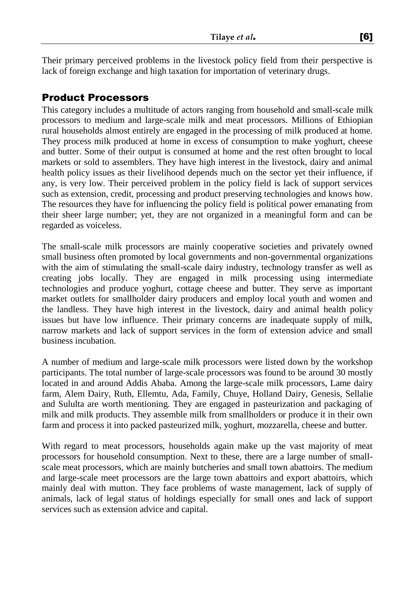Their primary perceived problems in the livestock policy field from their perspective is lack of foreign exchange and high taxation for importation of veterinary drugs.

### Product Processors

This category includes a multitude of actors ranging from household and small-scale milk processors to medium and large-scale milk and meat processors. Millions of Ethiopian rural households almost entirely are engaged in the processing of milk produced at home. They process milk produced at home in excess of consumption to make yoghurt, cheese and butter. Some of their output is consumed at home and the rest often brought to local markets or sold to assemblers. They have high interest in the livestock, dairy and animal health policy issues as their livelihood depends much on the sector yet their influence, if any, is very low. Their perceived problem in the policy field is lack of support services such as extension, credit, processing and product preserving technologies and knows how. The resources they have for influencing the policy field is political power emanating from their sheer large number; yet, they are not organized in a meaningful form and can be regarded as voiceless.

The small-scale milk processors are mainly cooperative societies and privately owned small business often promoted by local governments and non-governmental organizations with the aim of stimulating the small-scale dairy industry, technology transfer as well as creating jobs locally. They are engaged in milk processing using intermediate technologies and produce yoghurt, cottage cheese and butter. They serve as important market outlets for smallholder dairy producers and employ local youth and women and the landless. They have high interest in the livestock, dairy and animal health policy issues but have low influence. Their primary concerns are inadequate supply of milk, narrow markets and lack of support services in the form of extension advice and small business incubation.

A number of medium and large-scale milk processors were listed down by the workshop participants. The total number of large-scale processors was found to be around 30 mostly located in and around Addis Ababa. Among the large-scale milk processors, Lame dairy farm, Alem Dairy, Ruth, Ellemtu, Ada, Family, Chuye, Holland Dairy, Genesis, Sellalie and Sululta are worth mentioning. They are engaged in pasteurization and packaging of milk and milk products. They assemble milk from smallholders or produce it in their own farm and process it into packed pasteurized milk, yoghurt, mozzarella, cheese and butter.

With regard to meat processors, households again make up the vast majority of meat processors for household consumption. Next to these, there are a large number of smallscale meat processors, which are mainly butcheries and small town abattoirs. The medium and large-scale meet processors are the large town abattoirs and export abattoirs, which mainly deal with mutton. They face problems of waste management, lack of supply of animals, lack of legal status of holdings especially for small ones and lack of support services such as extension advice and capital.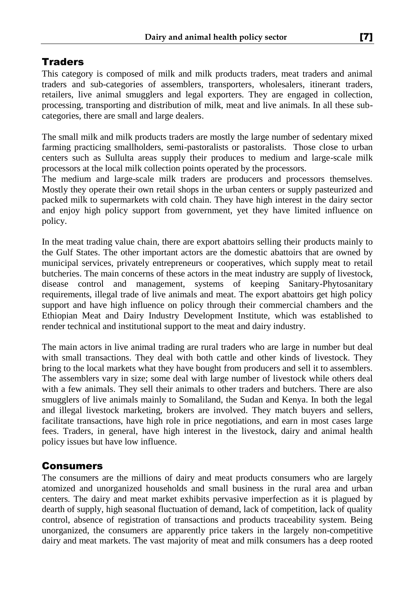## **Traders**

This category is composed of milk and milk products traders, meat traders and animal traders and sub-categories of assemblers, transporters, wholesalers, itinerant traders, retailers, live animal smugglers and legal exporters. They are engaged in collection, processing, transporting and distribution of milk, meat and live animals. In all these subcategories, there are small and large dealers.

The small milk and milk products traders are mostly the large number of sedentary mixed farming practicing smallholders, semi-pastoralists or pastoralists. Those close to urban centers such as Sullulta areas supply their produces to medium and large-scale milk processors at the local milk collection points operated by the processors.

The medium and large-scale milk traders are producers and processors themselves. Mostly they operate their own retail shops in the urban centers or supply pasteurized and packed milk to supermarkets with cold chain. They have high interest in the dairy sector and enjoy high policy support from government, yet they have limited influence on policy.

In the meat trading value chain, there are export abattoirs selling their products mainly to the Gulf States. The other important actors are the domestic abattoirs that are owned by municipal services, privately entrepreneurs or cooperatives, which supply meat to retail butcheries. The main concerns of these actors in the meat industry are supply of livestock, disease control and management, systems of keeping Sanitary-Phytosanitary requirements, illegal trade of live animals and meat. The export abattoirs get high policy support and have high influence on policy through their commercial chambers and the Ethiopian Meat and Dairy Industry Development Institute, which was established to render technical and institutional support to the meat and dairy industry.

The main actors in live animal trading are rural traders who are large in number but deal with small transactions. They deal with both cattle and other kinds of livestock. They bring to the local markets what they have bought from producers and sell it to assemblers. The assemblers vary in size; some deal with large number of livestock while others deal with a few animals. They sell their animals to other traders and butchers. There are also smugglers of live animals mainly to Somaliland, the Sudan and Kenya. In both the legal and illegal livestock marketing, brokers are involved. They match buyers and sellers, facilitate transactions, have high role in price negotiations, and earn in most cases large fees. Traders, in general, have high interest in the livestock, dairy and animal health policy issues but have low influence.

## Consumers

The consumers are the millions of dairy and meat products consumers who are largely atomized and unorganized households and small business in the rural area and urban centers. The dairy and meat market exhibits pervasive imperfection as it is plagued by dearth of supply, high seasonal fluctuation of demand, lack of competition, lack of quality control, absence of registration of transactions and products traceability system. Being unorganized, the consumers are apparently price takers in the largely non-competitive dairy and meat markets. The vast majority of meat and milk consumers has a deep rooted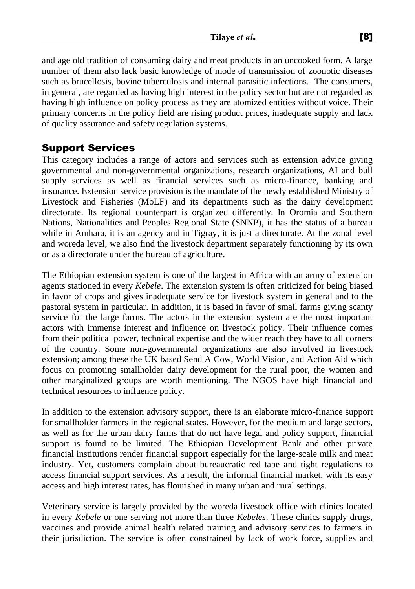and age old tradition of consuming dairy and meat products in an uncooked form. A large number of them also lack basic knowledge of mode of transmission of zoonotic diseases such as brucellosis, bovine tuberculosis and internal parasitic infections. The consumers, in general, are regarded as having high interest in the policy sector but are not regarded as having high influence on policy process as they are atomized entities without voice. Their primary concerns in the policy field are rising product prices, inadequate supply and lack of quality assurance and safety regulation systems.

## Support Services

This category includes a range of actors and services such as extension advice giving governmental and non-governmental organizations, research organizations, AI and bull supply services as well as financial services such as micro-finance, banking and insurance. Extension service provision is the mandate of the newly established Ministry of Livestock and Fisheries (MoLF) and its departments such as the dairy development directorate. Its regional counterpart is organized differently. In Oromia and Southern Nations, Nationalities and Peoples Regional State (SNNP), it has the status of a bureau while in Amhara, it is an agency and in Tigray, it is just a directorate. At the zonal level and woreda level, we also find the livestock department separately functioning by its own or as a directorate under the bureau of agriculture.

The Ethiopian extension system is one of the largest in Africa with an army of extension agents stationed in every *Kebele*. The extension system is often criticized for being biased in favor of crops and gives inadequate service for livestock system in general and to the pastoral system in particular. In addition, it is based in favor of small farms giving scanty service for the large farms. The actors in the extension system are the most important actors with immense interest and influence on livestock policy. Their influence comes from their political power, technical expertise and the wider reach they have to all corners of the country. Some non-governmental organizations are also involved in livestock extension; among these the UK based Send A Cow, World Vision, and Action Aid which focus on promoting smallholder dairy development for the rural poor, the women and other marginalized groups are worth mentioning. The NGOS have high financial and technical resources to influence policy.

In addition to the extension advisory support, there is an elaborate micro-finance support for smallholder farmers in the regional states. However, for the medium and large sectors, as well as for the urban dairy farms that do not have legal and policy support, financial support is found to be limited. The Ethiopian Development Bank and other private financial institutions render financial support especially for the large-scale milk and meat industry. Yet, customers complain about bureaucratic red tape and tight regulations to access financial support services. As a result, the informal financial market, with its easy access and high interest rates, has flourished in many urban and rural settings.

Veterinary service is largely provided by the woreda livestock office with clinics located in every *Kebele* or one serving not more than three *Kebeles*. These clinics supply drugs, vaccines and provide animal health related training and advisory services to farmers in their jurisdiction. The service is often constrained by lack of work force, supplies and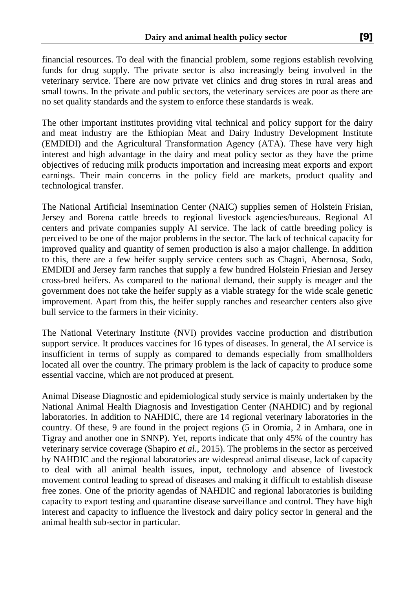financial resources. To deal with the financial problem, some regions establish revolving funds for drug supply. The private sector is also increasingly being involved in the veterinary service. There are now private vet clinics and drug stores in rural areas and small towns. In the private and public sectors, the veterinary services are poor as there are no set quality standards and the system to enforce these standards is weak.

The other important institutes providing vital technical and policy support for the dairy and meat industry are the Ethiopian Meat and Dairy Industry Development Institute (EMDIDI) and the Agricultural Transformation Agency (ATA). These have very high interest and high advantage in the dairy and meat policy sector as they have the prime objectives of reducing milk products importation and increasing meat exports and export earnings. Their main concerns in the policy field are markets, product quality and technological transfer.

The National Artificial Insemination Center (NAIC) supplies semen of Holstein Frisian, Jersey and Borena cattle breeds to regional livestock agencies/bureaus. Regional AI centers and private companies supply AI service. The lack of cattle breeding policy is perceived to be one of the major problems in the sector. The lack of technical capacity for improved quality and quantity of semen production is also a major challenge. In addition to this, there are a few heifer supply service centers such as Chagni, Abernosa, Sodo, EMDIDI and Jersey farm ranches that supply a few hundred Holstein Friesian and Jersey cross-bred heifers. As compared to the national demand, their supply is meager and the government does not take the heifer supply as a viable strategy for the wide scale genetic improvement. Apart from this, the heifer supply ranches and researcher centers also give bull service to the farmers in their vicinity.

The National Veterinary Institute (NVI) provides vaccine production and distribution support service. It produces vaccines for 16 types of diseases. In general, the AI service is insufficient in terms of supply as compared to demands especially from smallholders located all over the country. The primary problem is the lack of capacity to produce some essential vaccine, which are not produced at present.

Animal Disease Diagnostic and epidemiological study service is mainly undertaken by the National Animal Health Diagnosis and Investigation Center (NAHDIC) and by regional laboratories. In addition to NAHDIC, there are 14 regional veterinary laboratories in the country. Of these, 9 are found in the project regions (5 in Oromia, 2 in Amhara, one in Tigray and another one in SNNP). Yet, reports indicate that only 45% of the country has veterinary service coverage (Shapiro *et al.*, 2015). The problems in the sector as perceived by NAHDIC and the regional laboratories are widespread animal disease, lack of capacity to deal with all animal health issues, input, technology and absence of livestock movement control leading to spread of diseases and making it difficult to establish disease free zones. One of the priority agendas of NAHDIC and regional laboratories is building capacity to export testing and quarantine disease surveillance and control. They have high interest and capacity to influence the livestock and dairy policy sector in general and the animal health sub-sector in particular.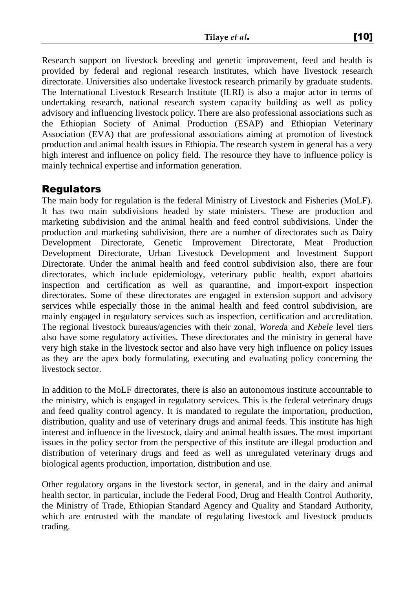Research support on livestock breeding and genetic improvement, feed and health is provided by federal and regional research institutes, which have livestock research directorate. Universities also undertake livestock research primarily by graduate students. The International Livestock Research Institute (ILRI) is also a major actor in terms of undertaking research, national research system capacity building as well as policy advisory and influencing livestock policy. There are also professional associations such as the Ethiopian Society of Animal Production (ESAP) and Ethiopian Veterinary Association (EVA) that are professional associations aiming at promotion of livestock production and animal health issues in Ethiopia. The research system in general has a very high interest and influence on policy field. The resource they have to influence policy is mainly technical expertise and information generation.

### Regulators

The main body for regulation is the federal Ministry of Livestock and Fisheries (MoLF). It has two main subdivisions headed by state ministers. These are production and marketing subdivision and the animal health and feed control subdivisions. Under the production and marketing subdivision, there are a number of directorates such as Dairy Development Directorate, Genetic Improvement Directorate, Meat Production Development Directorate, Urban Livestock Development and Investment Support Directorate. Under the animal health and feed control subdivision also, there are four directorates, which include epidemiology, veterinary public health, export abattoirs inspection and certification as well as quarantine, and import-export inspection directorates. Some of these directorates are engaged in extension support and advisory services while especially those in the animal health and feed control subdivision, are mainly engaged in regulatory services such as inspection, certification and accreditation. The regional livestock bureaus/agencies with their zonal, *Wored*a and *Kebele* level tiers also have some regulatory activities. These directorates and the ministry in general have very high stake in the livestock sector and also have very high influence on policy issues as they are the apex body formulating, executing and evaluating policy concerning the livestock sector.

In addition to the MoLF directorates, there is also an autonomous institute accountable to the ministry, which is engaged in regulatory services. This is the federal veterinary drugs and feed quality control agency. It is mandated to regulate the importation, production, distribution, quality and use of veterinary drugs and animal feeds. This institute has high interest and influence in the livestock, dairy and animal health issues. The most important issues in the policy sector from the perspective of this institute are illegal production and distribution of veterinary drugs and feed as well as unregulated veterinary drugs and biological agents production, importation, distribution and use.

Other regulatory organs in the livestock sector, in general, and in the dairy and animal health sector, in particular, include the Federal Food, Drug and Health Control Authority, the Ministry of Trade, Ethiopian Standard Agency and Quality and Standard Authority, which are entrusted with the mandate of regulating livestock and livestock products trading.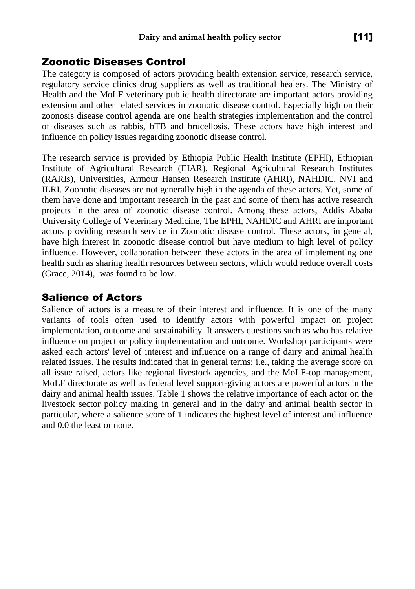#### Zoonotic Diseases Control

The category is composed of actors providing health extension service, research service, regulatory service clinics drug suppliers as well as traditional healers. The Ministry of Health and the MoLF veterinary public health directorate are important actors providing extension and other related services in zoonotic disease control. Especially high on their zoonosis disease control agenda are one health strategies implementation and the control of diseases such as rabbis, bTB and brucellosis. These actors have high interest and influence on policy issues regarding zoonotic disease control.

The research service is provided by Ethiopia Public Health Institute (EPHI), Ethiopian Institute of Agricultural Research (EIAR), Regional Agricultural Research Institutes (RARIs), Universities, Armour Hansen Research Institute (AHRI), NAHDIC, NVI and ILRI. Zoonotic diseases are not generally high in the agenda of these actors. Yet, some of them have done and important research in the past and some of them has active research projects in the area of zoonotic disease control. Among these actors, Addis Ababa University College of Veterinary Medicine, The EPHI, NAHDIC and AHRI are important actors providing research service in Zoonotic disease control. These actors, in general, have high interest in zoonotic disease control but have medium to high level of policy influence. However, collaboration between these actors in the area of implementing one health such as sharing health resources between sectors, which would reduce overall costs (Grace, 2014), was found to be low.

## Salience of Actors

Salience of actors is a measure of their interest and influence. It is one of the many variants of tools often used to identify actors with powerful impact on project implementation, outcome and sustainability. It answers questions such as who has relative influence on project or policy implementation and outcome. Workshop participants were asked each actors' level of interest and influence on a range of dairy and animal health related issues. The results indicated that in general terms; i.e., taking the average score on all issue raised, actors like regional livestock agencies, and the MoLF-top management, MoLF directorate as well as federal level support-giving actors are powerful actors in the dairy and animal health issues. Table 1 shows the relative importance of each actor on the livestock sector policy making in general and in the dairy and animal health sector in particular, where a salience score of 1 indicates the highest level of interest and influence and 0.0 the least or none.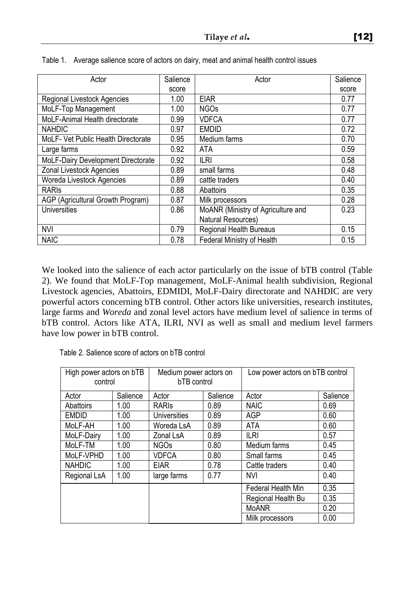| Actor                               | Salience | Actor                              | Salience |
|-------------------------------------|----------|------------------------------------|----------|
|                                     | score    |                                    | score    |
| Regional Livestock Agencies         | 1.00     | <b>EIAR</b>                        | 0.77     |
| MoLF-Top Management                 | 1.00     | <b>NGOs</b>                        | 0.77     |
| MoLF-Animal Health directorate      | 0.99     | <b>VDFCA</b>                       | 0.77     |
| <b>NAHDIC</b>                       | 0.97     | <b>EMDID</b>                       | 0.72     |
| MoLF- Vet Public Health Directorate | 0.95     | Medium farms                       | 0.70     |
| Large farms                         | 0.92     | ATA                                | 0.59     |
| MoLF-Dairy Development Directorate  | 0.92     | <b>ILRI</b>                        | 0.58     |
| Zonal Livestock Agencies            | 0.89     | small farms                        | 0.48     |
| Woreda Livestock Agencies           | 0.89     | cattle traders                     | 0.40     |
| <b>RARIS</b>                        | 0.88     | Abattoirs                          | 0.35     |
| AGP (Agricultural Growth Program)   | 0.87     | Milk processors                    | 0.28     |
| Universities                        | 0.86     | MoANR (Ministry of Agriculture and | 0.23     |
|                                     |          | Natural Resources)                 |          |
| <b>NVI</b>                          | 0.79     | Regional Health Bureaus            | 0.15     |
| <b>NAIC</b>                         | 0.78     | Federal Ministry of Health         | 0.15     |

| Table 1. Average salience score of actors on dairy, meat and animal health control issues |  |  |
|-------------------------------------------------------------------------------------------|--|--|
|                                                                                           |  |  |

We looked into the salience of each actor particularly on the issue of bTB control (Table 2). We found that MoLF-Top management, MoLF-Animal health subdivision, Regional Livestock agencies, Abattoirs, EDMIDI, MoLF-Dairy directorate and NAHDIC are very powerful actors concerning bTB control. Other actors like universities, research institutes, large farms and *Woreda* and zonal level actors have medium level of salience in terms of bTB control. Actors like ATA, ILRI, NVI as well as small and medium level farmers have low power in bTB control.

|  | Table 2. Salience score of actors on bTB control |  |  |  |  |  |
|--|--------------------------------------------------|--|--|--|--|--|
|--|--------------------------------------------------|--|--|--|--|--|

| High power actors on bTB<br>control |          | Medium power actors on<br>bTB control |      | Low power actors on bTB control |          |  |
|-------------------------------------|----------|---------------------------------------|------|---------------------------------|----------|--|
| Actor                               | Salience | Salience<br>Actor                     |      | Actor                           | Salience |  |
| <b>Abattoirs</b>                    | 1.00     | <b>RARIS</b>                          | 0.89 | <b>NAIC</b>                     | 0.69     |  |
| <b>EMDID</b>                        | 1.00     | Universities                          | 0.89 | AGP                             | 0.60     |  |
| MoLF-AH                             | 1.00     | Woreda LsA                            | 0.89 | <b>ATA</b>                      | 0.60     |  |
| MoLF-Dairy                          | 1.00     | Zonal LsA                             | 0.89 | <b>ILRI</b>                     | 0.57     |  |
| MoLF-TM                             | 1.00     | <b>NGOs</b>                           | 0.80 | Medium farms                    | 0.45     |  |
| MoLF-VPHD                           | 1.00     | <b>VDFCA</b>                          | 0.80 | Small farms                     | 0.45     |  |
| <b>NAHDIC</b>                       | 1.00     | 0.78<br><b>EIAR</b>                   |      | Cattle traders                  | 0.40     |  |
| Regional LsA                        | 1.00     | 0.77<br>large farms                   |      | <b>NVI</b>                      | 0.40     |  |
|                                     |          |                                       |      | Federal Health Min              | 0.35     |  |
|                                     |          |                                       |      | Regional Health Bu              | 0.35     |  |
|                                     |          |                                       |      | MoANR                           | 0.20     |  |
|                                     |          |                                       |      | Milk processors                 | 0.00     |  |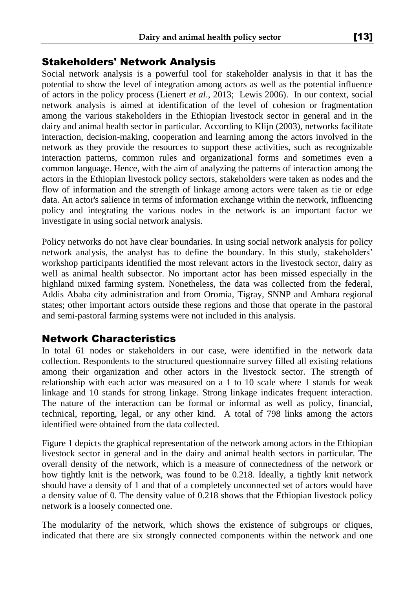## Stakeholders' Network Analysis

Social network analysis is a powerful tool for stakeholder analysis in that it has the potential to show the level of integration among actors as well as the potential influence of actors in the policy process (Lienert *et al*., 2013; Lewis 2006). In our context, social network analysis is aimed at identification of the level of cohesion or fragmentation among the various stakeholders in the Ethiopian livestock sector in general and in the dairy and animal health sector in particular. According to Klijn (2003), networks facilitate interaction, decision-making, cooperation and learning among the actors involved in the network as they provide the resources to support these activities, such as recognizable interaction patterns, common rules and organizational forms and sometimes even a common language. Hence, with the aim of analyzing the patterns of interaction among the actors in the Ethiopian livestock policy sectors, stakeholders were taken as nodes and the flow of information and the strength of linkage among actors were taken as tie or edge data. An actor's salience in terms of information exchange within the network, influencing policy and integrating the various nodes in the network is an important factor we investigate in using social network analysis.

Policy networks do not have clear boundaries. In using social network analysis for policy network analysis, the analyst has to define the boundary. In this study, stakeholders' workshop participants identified the most relevant actors in the livestock sector, dairy as well as animal health subsector. No important actor has been missed especially in the highland mixed farming system. Nonetheless, the data was collected from the federal, Addis Ababa city administration and from Oromia, Tigray, SNNP and Amhara regional states; other important actors outside these regions and those that operate in the pastoral and semi-pastoral farming systems were not included in this analysis.

## Network Characteristics

In total 61 nodes or stakeholders in our case, were identified in the network data collection. Respondents to the structured questionnaire survey filled all existing relations among their organization and other actors in the livestock sector. The strength of relationship with each actor was measured on a 1 to 10 scale where 1 stands for weak linkage and 10 stands for strong linkage. Strong linkage indicates frequent interaction. The nature of the interaction can be formal or informal as well as policy, financial, technical, reporting, legal, or any other kind. A total of 798 links among the actors identified were obtained from the data collected.

Figure 1 depicts the graphical representation of the network among actors in the Ethiopian livestock sector in general and in the dairy and animal health sectors in particular. The overall density of the network*,* which is a measure of connectedness of the network or how tightly knit is the network, was found to be 0.218. Ideally, a tightly knit network should have a density of 1 and that of a completely unconnected set of actors would have a density value of 0. The density value of 0.218 shows that the Ethiopian livestock policy network is a loosely connected one.

The modularity of the network, which shows the existence of subgroups or cliques, indicated that there are six strongly connected components within the network and one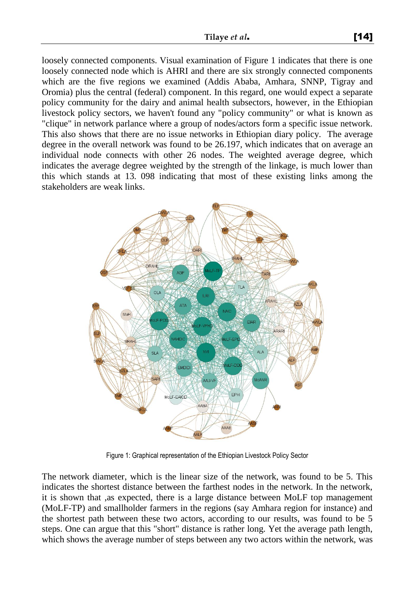loosely connected components. Visual examination of Figure 1 indicates that there is one loosely connected node which is AHRI and there are six strongly connected components which are the five regions we examined (Addis Ababa, Amhara, SNNP, Tigray and Oromia) plus the central (federal) component. In this regard, one would expect a separate policy community for the dairy and animal health subsectors, however, in the Ethiopian livestock policy sectors, we haven't found any "policy community" or what is known as "clique" in network parlance where a group of nodes/actors form a specific issue network. This also shows that there are no issue networks in Ethiopian diary policy. The average degree in the overall network was found to be 26.197, which indicates that on average an individual node connects with other 26 nodes. The weighted average degree, which indicates the average degree weighted by the strength of the linkage, is much lower than this which stands at 13. 098 indicating that most of these existing links among the stakeholders are weak links.



Figure 1: Graphical representation of the Ethiopian Livestock Policy Sector

The network diameter, which is the linear size of the network, was found to be 5. This indicates the shortest distance between the farthest nodes in the network. In the network, it is shown that ,as expected, there is a large distance between MoLF top management (MoLF-TP) and smallholder farmers in the regions (say Amhara region for instance) and the shortest path between these two actors, according to our results, was found to be 5 steps. One can argue that this "short" distance is rather long. Yet the average path length, which shows the average number of steps between any two actors within the network, was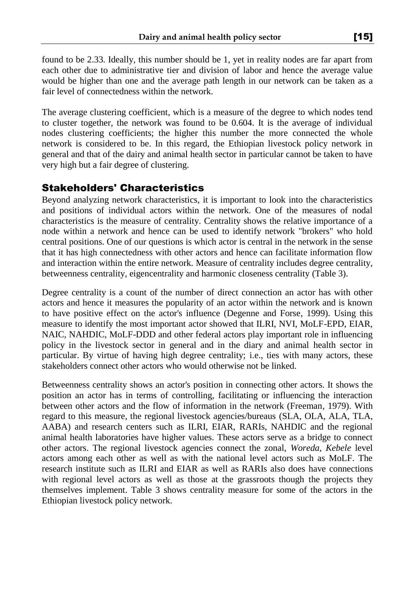found to be 2.33. Ideally, this number should be 1, yet in reality nodes are far apart from each other due to administrative tier and division of labor and hence the average value would be higher than one and the average path length in our network can be taken as a fair level of connectedness within the network.

The average clustering coefficient, which is a measure of the degree to which nodes tend to cluster together, the network was found to be 0.604. It is the average of individual nodes clustering coefficients; the higher this number the more connected the whole network is considered to be. In this regard, the Ethiopian livestock policy network in general and that of the dairy and animal health sector in particular cannot be taken to have very high but a fair degree of clustering.

## Stakeholders' Characteristics

Beyond analyzing network characteristics, it is important to look into the characteristics and positions of individual actors within the network. One of the measures of nodal characteristics is the measure of centrality. Centrality shows the relative importance of a node within a network and hence can be used to identify network "brokers" who hold central positions. One of our questions is which actor is central in the network in the sense that it has high connectedness with other actors and hence can facilitate information flow and interaction within the entire network. Measure of centrality includes degree centrality, betweenness centrality, eigencentrality and harmonic closeness centrality (Table 3).

Degree centrality is a count of the number of direct connection an actor has with other actors and hence it measures the popularity of an actor within the network and is known to have positive effect on the actor's influence (Degenne and Forse, 1999). Using this measure to identify the most important actor showed that ILRI, NVI, MoLF-EPD, EIAR, NAIC, NAHDIC, MoLF-DDD and other federal actors play important role in influencing policy in the livestock sector in general and in the diary and animal health sector in particular. By virtue of having high degree centrality; i.e., ties with many actors, these stakeholders connect other actors who would otherwise not be linked.

Betweenness centrality shows an actor's position in connecting other actors. It shows the position an actor has in terms of controlling, facilitating or influencing the interaction between other actors and the flow of information in the network (Freeman, 1979). With regard to this measure, the regional livestock agencies/bureaus (SLA, OLA, ALA, TLA, AABA) and research centers such as ILRI, EIAR, RARIs, NAHDIC and the regional animal health laboratories have higher values. These actors serve as a bridge to connect other actors. The regional livestock agencies connect the zonal, *Woreda*, *Kebele* level actors among each other as well as with the national level actors such as MoLF. The research institute such as ILRI and EIAR as well as RARIs also does have connections with regional level actors as well as those at the grassroots though the projects they themselves implement. Table 3 shows centrality measure for some of the actors in the Ethiopian livestock policy network.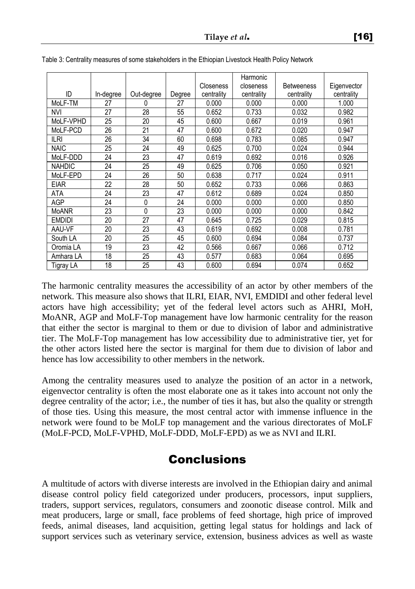|               |           |            |        | <b>Closeness</b> | Harmonic<br>closeness | <b>Betweeness</b> | Eigenvector |
|---------------|-----------|------------|--------|------------------|-----------------------|-------------------|-------------|
| ID            | In-degree | Out-degree | Degree | centrality       | centrality            | centrality        | centrality  |
| MoLF-TM       | 27        | 0          | 27     | 0.000            | 0.000                 | 0.000             | 1.000       |
| <b>NVI</b>    | 27        | 28         | 55     | 0.652            | 0.733                 | 0.032             | 0.982       |
| MoLF-VPHD     | 25        | 20         | 45     | 0.600            | 0.667                 | 0.019             | 0.961       |
| MoLF-PCD      | 26        | 21         | 47     | 0.600            | 0.672                 | 0.020             | 0.947       |
| ILRI          | 26        | 34         | 60     | 0.698            | 0.783                 | 0.085             | 0.947       |
| <b>NAIC</b>   | 25        | 24         | 49     | 0.625            | 0.700                 | 0.024             | 0.944       |
| MoLF-DDD      | 24        | 23         | 47     | 0.619            | 0.692                 | 0.016             | 0.926       |
| <b>NAHDIC</b> | 24        | 25         | 49     | 0.625            | 0.706                 | 0.050             | 0.921       |
| MoLF-EPD      | 24        | 26         | 50     | 0.638            | 0.717                 | 0.024             | 0.911       |
| <b>EIAR</b>   | 22        | 28         | 50     | 0.652            | 0.733                 | 0.066             | 0.863       |
| ATA           | 24        | 23         | 47     | 0.612            | 0.689                 | 0.024             | 0.850       |
| AGP           | 24        | 0          | 24     | 0.000            | 0.000                 | 0.000             | 0.850       |
| <b>MoANR</b>  | 23        | 0          | 23     | 0.000            | 0.000                 | 0.000             | 0.842       |
| <b>EMDIDI</b> | 20        | 27         | 47     | 0.645            | 0.725                 | 0.029             | 0.815       |
| AAU-VF        | 20        | 23         | 43     | 0.619            | 0.692                 | 0.008             | 0.781       |
| South LA      | 20        | 25         | 45     | 0.600            | 0.694                 | 0.084             | 0.737       |
| Oromia LA     | 19        | 23         | 42     | 0.566            | 0.667                 | 0.066             | 0.712       |
| Amhara LA     | 18        | 25         | 43     | 0.577            | 0.683                 | 0.064             | 0.695       |
| Tigray LA     | 18        | 25         | 43     | 0.600            | 0.694                 | 0.074             | 0.652       |

Table 3: Centrality measures of some stakeholders in the Ethiopian Livestock Health Policy Network

The harmonic centrality measures the accessibility of an actor by other members of the network. This measure also shows that ILRI, EIAR, NVI, EMDIDI and other federal level actors have high accessibility; yet of the federal level actors such as AHRI, MoH, MoANR, AGP and MoLF-Top management have low harmonic centrality for the reason that either the sector is marginal to them or due to division of labor and administrative tier. The MoLF-Top management has low accessibility due to administrative tier, yet for the other actors listed here the sector is marginal for them due to division of labor and hence has low accessibility to other members in the network.

Among the centrality measures used to analyze the position of an actor in a network, eigenvector centrality is often the most elaborate one as it takes into account not only the degree centrality of the actor; i.e., the number of ties it has, but also the quality or strength of those ties. Using this measure, the most central actor with immense influence in the network were found to be MoLF top management and the various directorates of MoLF (MoLF-PCD, MoLF-VPHD, MoLF-DDD, MoLF-EPD) as we as NVI and ILRI.

# Conclusions

A multitude of actors with diverse interests are involved in the Ethiopian dairy and animal disease control policy field categorized under producers, processors, input suppliers, traders, support services, regulators, consumers and zoonotic disease control. Milk and meat producers, large or small, face problems of feed shortage, high price of improved feeds, animal diseases, land acquisition, getting legal status for holdings and lack of support services such as veterinary service, extension, business advices as well as waste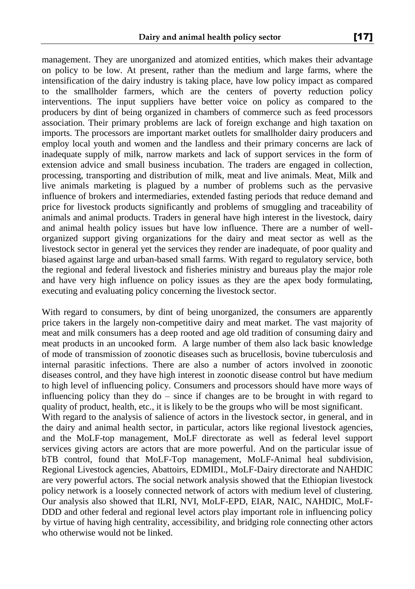management. They are unorganized and atomized entities, which makes their advantage on policy to be low. At present, rather than the medium and large farms, where the intensification of the dairy industry is taking place, have low policy impact as compared to the smallholder farmers, which are the centers of poverty reduction policy interventions. The input suppliers have better voice on policy as compared to the producers by dint of being organized in chambers of commerce such as feed processors association. Their primary problems are lack of foreign exchange and high taxation on imports. The processors are important market outlets for smallholder dairy producers and employ local youth and women and the landless and their primary concerns are lack of inadequate supply of milk, narrow markets and lack of support services in the form of extension advice and small business incubation. The traders are engaged in collection, processing, transporting and distribution of milk, meat and live animals. Meat, Milk and live animals marketing is plagued by a number of problems such as the pervasive influence of brokers and intermediaries, extended fasting periods that reduce demand and price for livestock products significantly and problems of smuggling and traceability of animals and animal products. Traders in general have high interest in the livestock, dairy and animal health policy issues but have low influence. There are a number of wellorganized support giving organizations for the dairy and meat sector as well as the livestock sector in general yet the services they render are inadequate, of poor quality and biased against large and urban-based small farms. With regard to regulatory service, both the regional and federal livestock and fisheries ministry and bureaus play the major role and have very high influence on policy issues as they are the apex body formulating, executing and evaluating policy concerning the livestock sector.

With regard to consumers, by dint of being unorganized, the consumers are apparently price takers in the largely non-competitive dairy and meat market. The vast majority of meat and milk consumers has a deep rooted and age old tradition of consuming dairy and meat products in an uncooked form. A large number of them also lack basic knowledge of mode of transmission of zoonotic diseases such as brucellosis, bovine tuberculosis and internal parasitic infections. There are also a number of actors involved in zoonotic diseases control, and they have high interest in zoonotic disease control but have medium to high level of influencing policy. Consumers and processors should have more ways of influencing policy than they do – since if changes are to be brought in with regard to quality of product, health, etc., it is likely to be the groups who will be most significant.

With regard to the analysis of salience of actors in the livestock sector, in general, and in the dairy and animal health sector, in particular, actors like regional livestock agencies, and the MoLF-top management, MoLF directorate as well as federal level support services giving actors are actors that are more powerful. And on the particular issue of bTB control, found that MoLF-Top management, MoLF-Animal heal subdivision, Regional Livestock agencies, Abattoirs, EDMIDI., MoLF-Dairy directorate and NAHDIC are very powerful actors. The social network analysis showed that the Ethiopian livestock policy network is a loosely connected network of actors with medium level of clustering. Our analysis also showed that ILRI, NVI, MoLF-EPD, EIAR, NAIC, NAHDIC, MoLF-DDD and other federal and regional level actors play important role in influencing policy by virtue of having high centrality, accessibility, and bridging role connecting other actors who otherwise would not be linked.